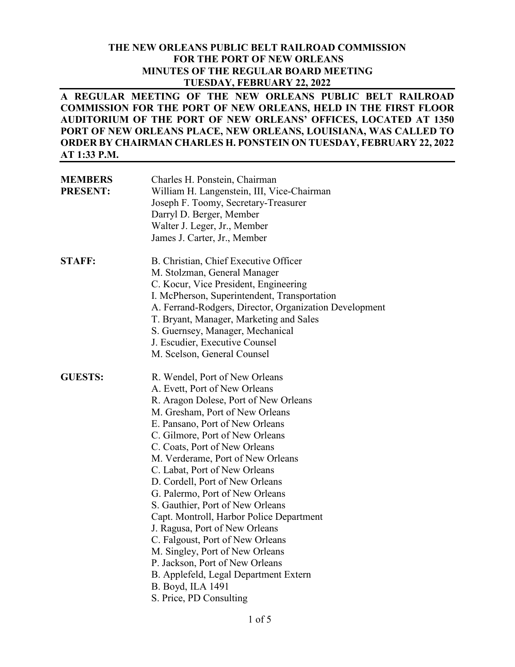#### **THE NEW ORLEANS PUBLIC BELT RAILROAD COMMISSION FOR THE PORT OF NEW ORLEANS MINUTES OF THE REGULAR BOARD MEETING TUESDAY, FEBRUARY 22, 2022**

**A REGULAR MEETING OF THE NEW ORLEANS PUBLIC BELT RAILROAD COMMISSION FOR THE PORT OF NEW ORLEANS, HELD IN THE FIRST FLOOR AUDITORIUM OF THE PORT OF NEW ORLEANS' OFFICES, LOCATED AT 1350 PORT OF NEW ORLEANS PLACE, NEW ORLEANS, LOUISIANA, WAS CALLED TO ORDER BY CHAIRMAN CHARLES H. PONSTEIN ON TUESDAY, FEBRUARY 22, 2022 AT 1:33 P.M.** 

| <b>MEMBERS</b><br><b>PRESENT:</b> | Charles H. Ponstein, Chairman<br>William H. Langenstein, III, Vice-Chairman<br>Joseph F. Toomy, Secretary-Treasurer<br>Darryl D. Berger, Member<br>Walter J. Leger, Jr., Member<br>James J. Carter, Jr., Member                                                                                                                                                                                                                                                                                                                                                                                                                                                                                                     |
|-----------------------------------|---------------------------------------------------------------------------------------------------------------------------------------------------------------------------------------------------------------------------------------------------------------------------------------------------------------------------------------------------------------------------------------------------------------------------------------------------------------------------------------------------------------------------------------------------------------------------------------------------------------------------------------------------------------------------------------------------------------------|
| <b>STAFF:</b>                     | B. Christian, Chief Executive Officer<br>M. Stolzman, General Manager<br>C. Kocur, Vice President, Engineering<br>I. McPherson, Superintendent, Transportation<br>A. Ferrand-Rodgers, Director, Organization Development<br>T. Bryant, Manager, Marketing and Sales<br>S. Guernsey, Manager, Mechanical<br>J. Escudier, Executive Counsel<br>M. Scelson, General Counsel                                                                                                                                                                                                                                                                                                                                            |
| <b>GUESTS:</b>                    | R. Wendel, Port of New Orleans<br>A. Evett, Port of New Orleans<br>R. Aragon Dolese, Port of New Orleans<br>M. Gresham, Port of New Orleans<br>E. Pansano, Port of New Orleans<br>C. Gilmore, Port of New Orleans<br>C. Coats, Port of New Orleans<br>M. Verderame, Port of New Orleans<br>C. Labat, Port of New Orleans<br>D. Cordell, Port of New Orleans<br>G. Palermo, Port of New Orleans<br>S. Gauthier, Port of New Orleans<br>Capt. Montroll, Harbor Police Department<br>J. Ragusa, Port of New Orleans<br>C. Falgoust, Port of New Orleans<br>M. Singley, Port of New Orleans<br>P. Jackson, Port of New Orleans<br>B. Applefeld, Legal Department Extern<br>B. Boyd, ILA 1491<br>S. Price, PD Consulting |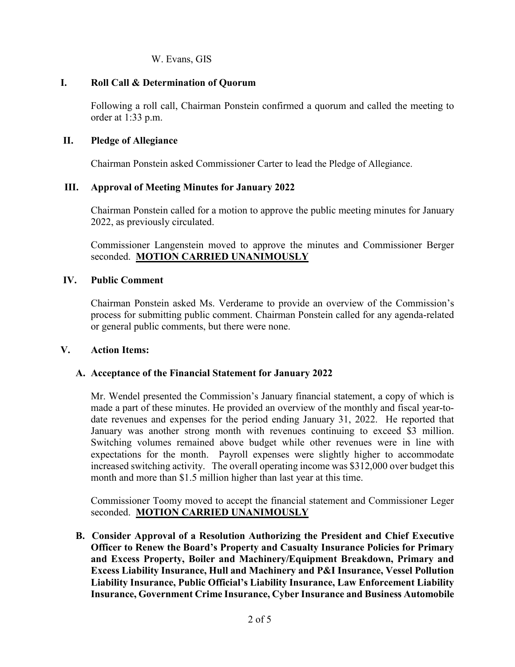W. Evans, GIS

## **I. Roll Call & Determination of Quorum**

Following a roll call, Chairman Ponstein confirmed a quorum and called the meeting to order at 1:33 p.m.

## **II. Pledge of Allegiance**

Chairman Ponstein asked Commissioner Carter to lead the Pledge of Allegiance.

## **III. Approval of Meeting Minutes for January 2022**

Chairman Ponstein called for a motion to approve the public meeting minutes for January 2022, as previously circulated.

Commissioner Langenstein moved to approve the minutes and Commissioner Berger seconded. **MOTION CARRIED UNANIMOUSLY**

## **IV. Public Comment**

Chairman Ponstein asked Ms. Verderame to provide an overview of the Commission's process for submitting public comment. Chairman Ponstein called for any agenda-related or general public comments, but there were none.

#### **V. Action Items:**

## **A. Acceptance of the Financial Statement for January 2022**

Mr. Wendel presented the Commission's January financial statement, a copy of which is made a part of these minutes. He provided an overview of the monthly and fiscal year-todate revenues and expenses for the period ending January 31, 2022. He reported that January was another strong month with revenues continuing to exceed \$3 million. Switching volumes remained above budget while other revenues were in line with expectations for the month. Payroll expenses were slightly higher to accommodate increased switching activity. The overall operating income was \$312,000 over budget this month and more than \$1.5 million higher than last year at this time.

Commissioner Toomy moved to accept the financial statement and Commissioner Leger seconded. **MOTION CARRIED UNANIMOUSLY**

**B. Consider Approval of a Resolution Authorizing the President and Chief Executive Officer to Renew the Board's Property and Casualty Insurance Policies for Primary and Excess Property, Boiler and Machinery/Equipment Breakdown, Primary and Excess Liability Insurance, Hull and Machinery and P&I Insurance, Vessel Pollution Liability Insurance, Public Official's Liability Insurance, Law Enforcement Liability Insurance, Government Crime Insurance, Cyber Insurance and Business Automobile**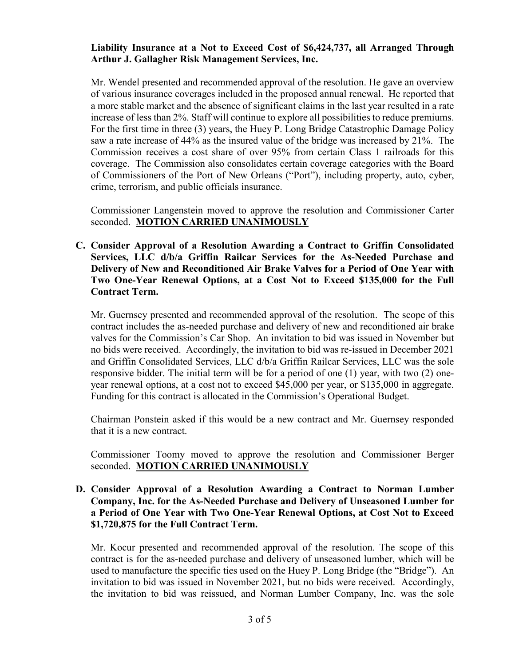## **Liability Insurance at a Not to Exceed Cost of \$6,424,737, all Arranged Through Arthur J. Gallagher Risk Management Services, Inc.**

Mr. Wendel presented and recommended approval of the resolution. He gave an overview of various insurance coverages included in the proposed annual renewal. He reported that a more stable market and the absence of significant claims in the last year resulted in a rate increase of less than 2%. Staff will continue to explore all possibilities to reduce premiums. For the first time in three (3) years, the Huey P. Long Bridge Catastrophic Damage Policy saw a rate increase of 44% as the insured value of the bridge was increased by 21%. The Commission receives a cost share of over 95% from certain Class 1 railroads for this coverage. The Commission also consolidates certain coverage categories with the Board of Commissioners of the Port of New Orleans ("Port"), including property, auto, cyber, crime, terrorism, and public officials insurance.

Commissioner Langenstein moved to approve the resolution and Commissioner Carter seconded. **MOTION CARRIED UNANIMOUSLY**

**C. Consider Approval of a Resolution Awarding a Contract to Griffin Consolidated Services, LLC d/b/a Griffin Railcar Services for the As-Needed Purchase and Delivery of New and Reconditioned Air Brake Valves for a Period of One Year with Two One-Year Renewal Options, at a Cost Not to Exceed \$135,000 for the Full Contract Term.**

Mr. Guernsey presented and recommended approval of the resolution. The scope of this contract includes the as-needed purchase and delivery of new and reconditioned air brake valves for the Commission's Car Shop. An invitation to bid was issued in November but no bids were received. Accordingly, the invitation to bid was re-issued in December 2021 and Griffin Consolidated Services, LLC d/b/a Griffin Railcar Services, LLC was the sole responsive bidder. The initial term will be for a period of one (1) year, with two (2) oneyear renewal options, at a cost not to exceed \$45,000 per year, or \$135,000 in aggregate. Funding for this contract is allocated in the Commission's Operational Budget.

Chairman Ponstein asked if this would be a new contract and Mr. Guernsey responded that it is a new contract.

Commissioner Toomy moved to approve the resolution and Commissioner Berger seconded. **MOTION CARRIED UNANIMOUSLY**

**D. Consider Approval of a Resolution Awarding a Contract to Norman Lumber Company, Inc. for the As-Needed Purchase and Delivery of Unseasoned Lumber for a Period of One Year with Two One-Year Renewal Options, at Cost Not to Exceed \$1,720,875 for the Full Contract Term.** 

Mr. Kocur presented and recommended approval of the resolution. The scope of this contract is for the as-needed purchase and delivery of unseasoned lumber, which will be used to manufacture the specific ties used on the Huey P. Long Bridge (the "Bridge"). An invitation to bid was issued in November 2021, but no bids were received. Accordingly, the invitation to bid was reissued, and Norman Lumber Company, Inc. was the sole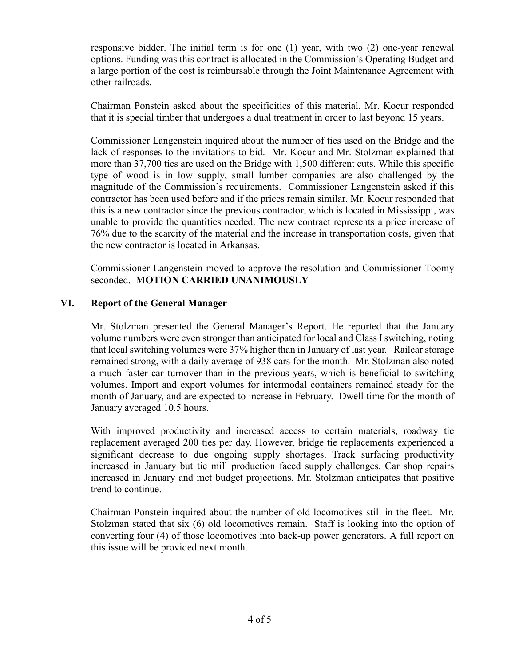responsive bidder. The initial term is for one (1) year, with two (2) one-year renewal options. Funding was this contract is allocated in the Commission's Operating Budget and a large portion of the cost is reimbursable through the Joint Maintenance Agreement with other railroads.

Chairman Ponstein asked about the specificities of this material. Mr. Kocur responded that it is special timber that undergoes a dual treatment in order to last beyond 15 years.

Commissioner Langenstein inquired about the number of ties used on the Bridge and the lack of responses to the invitations to bid. Mr. Kocur and Mr. Stolzman explained that more than 37,700 ties are used on the Bridge with 1,500 different cuts. While this specific type of wood is in low supply, small lumber companies are also challenged by the magnitude of the Commission's requirements. Commissioner Langenstein asked if this contractor has been used before and if the prices remain similar. Mr. Kocur responded that this is a new contractor since the previous contractor, which is located in Mississippi, was unable to provide the quantities needed. The new contract represents a price increase of 76% due to the scarcity of the material and the increase in transportation costs, given that the new contractor is located in Arkansas.

Commissioner Langenstein moved to approve the resolution and Commissioner Toomy seconded. **MOTION CARRIED UNANIMOUSLY**

## **VI. Report of the General Manager**

Mr. Stolzman presented the General Manager's Report. He reported that the January volume numbers were even stronger than anticipated for local and Class Iswitching, noting that local switching volumes were 37% higher than in January of last year. Railcar storage remained strong, with a daily average of 938 cars for the month. Mr. Stolzman also noted a much faster car turnover than in the previous years, which is beneficial to switching volumes. Import and export volumes for intermodal containers remained steady for the month of January, and are expected to increase in February. Dwell time for the month of January averaged 10.5 hours.

With improved productivity and increased access to certain materials, roadway tie replacement averaged 200 ties per day. However, bridge tie replacements experienced a significant decrease to due ongoing supply shortages. Track surfacing productivity increased in January but tie mill production faced supply challenges. Car shop repairs increased in January and met budget projections. Mr. Stolzman anticipates that positive trend to continue.

Chairman Ponstein inquired about the number of old locomotives still in the fleet. Mr. Stolzman stated that six (6) old locomotives remain. Staff is looking into the option of converting four (4) of those locomotives into back-up power generators. A full report on this issue will be provided next month.